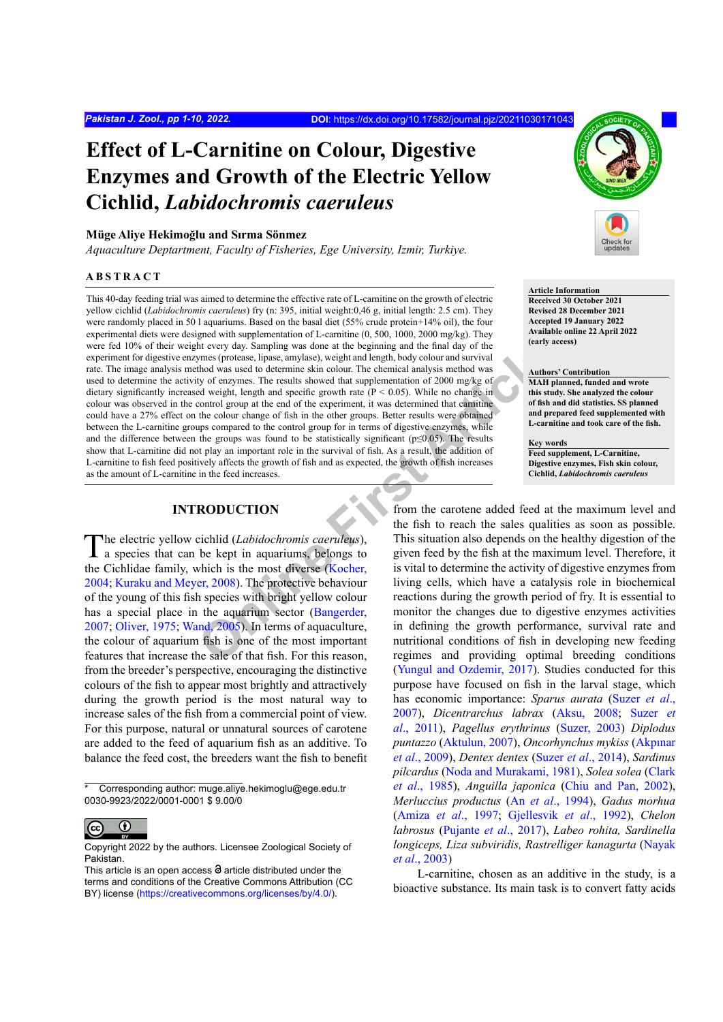# **Effect of L-Carnitine on Colour, Digestive Enzymes and Growth of the Electric Yellow Cichlid,** *Labidochromis caeruleus*

## **Müge Aliye Hekimoğlu and Sırma Sönmez**

*Aquaculture Deptartment, Faculty of Fisheries, Ege University, Izmir, Turkiye.*

# **ABSTRACT**

It [e](#page-7-0)very day. Sampling was done at the begnning and the final day of the sampling and the sampling and the time of the sampling of every the central and specified are the sampling of the sampling of the sampling of the sam This 40-day feeding trial was aimed to determine the effective rate of L-carnitine on the growth of electric yellow cichlid (*Labidochromis caeruleus*) fry (n: 395, initial weight:0,46 g, initial length: 2.5 cm). They were randomly placed in 50 l aquariums. Based on the basal diet (55% crude protein+14% oil), the four experimental diets were designed with supplementation of L-carnitine (0, 500, 1000, 2000 mg/kg). They were fed 10% of their weight every day. Sampling was done at the beginning and the final day of the experiment for digestive enzymes (protease, lipase, amylase), weight and length, body colour and survival rate. The image analysis method was used to determine skin colour. The chemical analysis method was used to determine the activity of enzymes. The results showed that supplementation of 2000 mg/kg of dietary significantly increased weight, length and specific growth rate (P < 0.05). While no change in colour was observed in the control group at the end of the experiment, it was determined that carnitine could have a 27% effect on the colour change of fish in the other groups. Better results were obtained between the L-carnitine groups compared to the control group for in terms of digestive enzymes, while and the difference between the groups was found to be statistically significant ( $p≤0.05$ ). The results show that L-carnitine did not play an important role in the survival of fish. As a result, the addition of L-carnitine to fish feed positively affects the growth of fish and as expected, the growth of fish increases as the amount of L-carnitine in the feed increases.

# **INTRODUCTION**

The electric yellow cichlid (*Labidochromis caeruleus*), a species that can be kept in aquariums, belongs to the Cichlidae family, which is the most diverse (Kocher, [2004;](#page-7-0) [Kuraku and Meyer, 2008](#page-7-1)). The protective behaviour of the young of this fish species with bright yellow colour has a special place in the aquarium sector (Bangerder, [2007;](#page-5-0) [Oliver, 1975](#page-7-2); [Wand, 2005](#page-8-0)). In terms of aquaculture, the colour of aquarium fish is one of the most important features that increase the sale of that fish. For this reason, from the breeder's perspective, encouraging the distinctive colours of the fish to appear most brightly and attractively during the growth period is the most natural way to increase sales of the fish from a commercial point of view. For this purpose, natural or unnatural sources of carotene are added to the feed of aquarium fish as an additive. To balance the feed cost, the breeders want the fish to benefit

Corresponding author: muge.aliye.hekimoglu@ege.edu.tr 0030-9923/2022/0001-0001 \$ 9.00/0



Copyright 2022 by the authors. Licensee Zoological Society of Pakistan.



# **Article Information**

**Received 30 October 2021 Revised 28 December 2021 Accepted 19 January 2022 Available online 22 April 2022 (early access)**

#### **Authors' Contribution**

**MAH planned, funded and wrote this study. She analyzed the colour of fish and did statistics. SS planned and prepared feed supplemented with L-carnitine and took care of the fish.** 

**Key words Feed supplement, L-Carnitine, Digestive enzymes, Fish skin colour, Cichlid,** *Labidochromis caeruleus*

from the carotene added feed at the maximum level and the fish to reach the sales qualities as soon as possible. This situation also depends on the healthy digestion of the given feed by the fish at the maximum level. Therefore, it is vital to determine the activity of digestive enzymes from living cells, which have a catalysis role in biochemical reactions during the growth period of fry. It is essential to monitor the changes due to digestive enzymes activities in defining the growth performance, survival rate and nutritional conditions of fish in developing new feeding regimes and providing optimal breeding conditions [\(Yungul and Ozdemir, 2017\)](#page-9-0). Studies conducted for this purpose have focused on fish in the larval stage, which has economic importance: *Sparus aurata* ([Suzer](#page-8-1) *et al*., [2007\)](#page-8-1), *Dicentrarchus labrax* ([Aksu, 2008](#page-5-1); [Suzer](#page-8-2) *et al*[., 2011](#page-8-2)), *Pagellus erythrinus* ([Suzer, 2003](#page-8-3)) *Diplodus puntazzo* ([Aktulun, 2007](#page-5-2)), *Oncorhynchus mykiss* ([Akpınar](#page-5-3) *et al*[., 2009\)](#page-5-3), *Dentex dentex* (Suzer *et al*[., 2014\)](#page-8-4), *Sardinus pilcardus* [\(Noda and Murakami, 1981\)](#page-7-3), *Solea solea* [\(Clark](#page-6-0) *et al*[., 1985](#page-6-0)), *Anguilla japonica* ([Chiu and Pan, 2002](#page-6-1)), *Merluccius productus* (An *et al*[., 1994](#page-5-4)), *Gadus morhua* (Amiza *et al*[., 1997](#page-5-5); [Gjellesvik](#page-6-2) *et al*., 1992), *Chelon labrosus* ([Pujante](#page-7-4) *et al*., 2017), *Labeo rohita, Sardinella longiceps, Liza subviridis, Rastrelliger kanagurta* [\(Nayak](#page-7-5) *et al*[., 2003\)](#page-7-5)

L-carnitine, chosen as an additive in the study, is a bioactive substance. Its main task is to convert fatty acids

This article is an open access  $\Theta$  article distributed under the terms and conditions of the Creative Commons Attribution (CC BY) license (https://creativecommons.org/licenses/by/4.0/).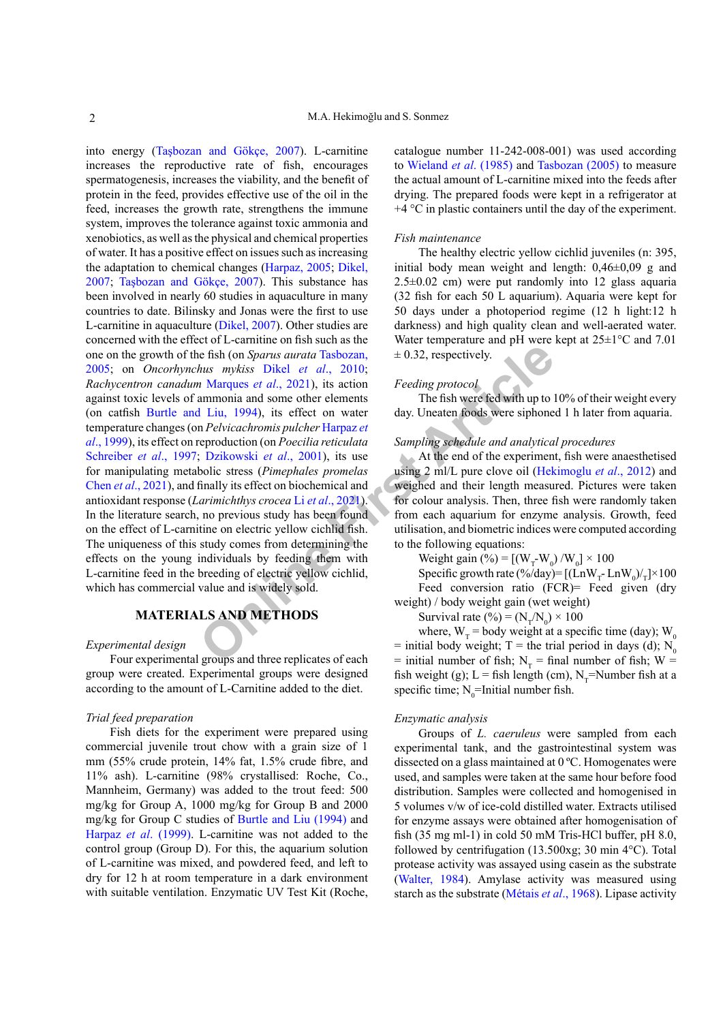**Online [Fi](#page-7-9)rst Article** into energy ([Taşbozan and Gökçe, 2007](#page-8-5)). L-carnitine increases the reproductive rate of fish, encourages spermatogenesis, increases the viability, and the benefit of protein in the feed, provides effective use of the oil in the feed, increases the growth rate, strengthens the immune system, improves the tolerance against toxic ammonia and xenobiotics, as well as the physical and chemical properties of water. It has a positive effect on issues such as increasing the adaptation to chemical changes [\(Harpaz, 2005;](#page-7-6) [Dikel,](#page-6-3) [2007;](#page-6-3) [Taşbozan and Gökçe, 2007](#page-8-5)). This substance has been involved in nearly 60 studies in aquaculture in many countries to date. Bilinsky and Jonas were the first to use L-carnitine in aquaculture [\(Dikel, 2007](#page-6-3)). Other studies are concerned with the effect of L-carnitine on fish such as the one on the growth of the fish (on *Sparus aurata* Tasbozan, [2005;](#page-8-6) on *Oncorhynchus mykiss* Dikel *et al*., 2010; *Rachycentron canadum* Marques *et al*., 2021), its action against toxic levels of ammonia and some other elements (on catfish [Burtle and Liu, 1994](#page-6-5)), its effect on water temperature changes (on *Pelvicachromis pulcher* Harpaz *et al*[., 1999](#page-7-8)), its effect on reproduction (on *Poecilia reticulata* [Schreiber](#page-8-7) *et al*., 1997; Dzikowski *et al*., 2001), its use for manipulating metabolic stress (*Pimephales promelas* Chen *et al*[., 2021](#page-6-7)), and finally its effect on biochemical and antioxidant response (*Larimichthys crocea* Li *et al*., 2021). In the literature search, no previous study has been found on the effect of L-carnitine on electric yellow cichlid fish. The uniqueness of this study comes from determining the effects on the young individuals by feeding them with L-carnitine feed in the breeding of electric yellow cichlid, which has commercial value and is widely sold.

# **MATERIALS AND METHODS**

# *Experimental design*

Four experimental groups and three replicates of each group were created. Experimental groups were designed according to the amount of L-Carnitine added to the diet.

## *Trial feed preparation*

Fish diets for the experiment were prepared using commercial juvenile trout chow with a grain size of 1 mm (55% crude protein, 14% fat, 1.5% crude fibre, and 11% ash). L-carnitine (98% crystallised: Roche, Co., Mannheim, Germany) was added to the trout feed: 500 mg/kg for Group A, 1000 mg/kg for Group B and 2000 mg/kg for Group C studies of [Burtle and Liu \(1994\)](#page-6-5) and Harpaz *et al*[. \(1999\)](#page-7-8). L-carnitine was not added to the control group (Group D). For this, the aquarium solution of L-carnitine was mixed, and powdered feed, and left to dry for 12 h at room temperature in a dark environment with suitable ventilation. Enzymatic UV Test Kit (Roche, catalogue number 11-242-008-001) was used according to [Wieland](#page-9-1) *et al*. (1985) and [Tasbozan \(2005\)](#page-8-6) to measure the actual amount of L-carnitine mixed into the feeds after drying. The prepared foods were kept in a refrigerator at  $+4$  °C in plastic containers until the day of the experiment.

# *Fish maintenance*

The healthy electric yellow cichlid juveniles (n: 395, initial body mean weight and length: 0,46±0,09 g and 2.5±0.02 cm) were put randomly into 12 glass aquaria (32 fish for each 50 L aquarium). Aquaria were kept for 50 days under a photoperiod regime (12 h light:12 h darkness) and high quality clean and well-aerated water. Water temperature and pH were kept at 25±1°C and 7.01  $\pm$  0.32, respectively.

#### *Feeding protocol*

The fish were fed with up to 10% of their weight every day. Uneaten foods were siphoned 1 h later from aquaria.

# *Sampling schedule and analytical procedures*

At the end of the experiment, fish were anaesthetised using 2 ml/L pure clove oil [\(Hekimoglu](#page-7-10) *et al*., 2012) and weighed and their length measured. Pictures were taken for colour analysis. Then, three fish were randomly taken from each aquarium for enzyme analysis. Growth, feed utilisation, and biometric indices were computed according to the following equations:

Weight gain (%) =  $[(W_T-W_0)/W_0] \times 100$ 

Specific growth rate  $(\frac{6}{\text{day}})$ = [(LnW<sub>T</sub>-LnW<sub>0</sub>)/<sub>T</sub>]×100 Feed conversion ratio (FCR)= Feed given (dry weight) / body weight gain (wet weight)

Survival rate (%) = ( $N_T/N_0$ ) × 100

where,  $W_T$  = body weight at a specific time (day);  $W_0$ = initial body weight; T = the trial period in days (d);  $N_0$ = initial number of fish;  $N_T$  = final number of fish; W = fish weight (g); L = fish length (cm), N<sub>T</sub>=Number fish at a specific time;  $N_0$ =Initial number fish.

## *Enzymatic analysis*

Groups of *L. caeruleus* were sampled from each experimental tank, and the gastrointestinal system was dissected on a glass maintained at 0 ºC. Homogenates were used, and samples were taken at the same hour before food distribution. Samples were collected and homogenised in 5 volumes v/w of ice-cold distilled water. Extracts utilised for enzyme assays were obtained after homogenisation of fish (35 mg ml-1) in cold 50 mM Tris-HCl buffer, pH 8.0, followed by centrifugation (13.500xg; 30 min 4°C). Total protease activity was assayed using casein as the substrate ([Walter, 1984](#page-8-8)). Amylase activity was measured using starch as the substrate ([Métais](#page-7-11) *et al*., 1968). Lipase activity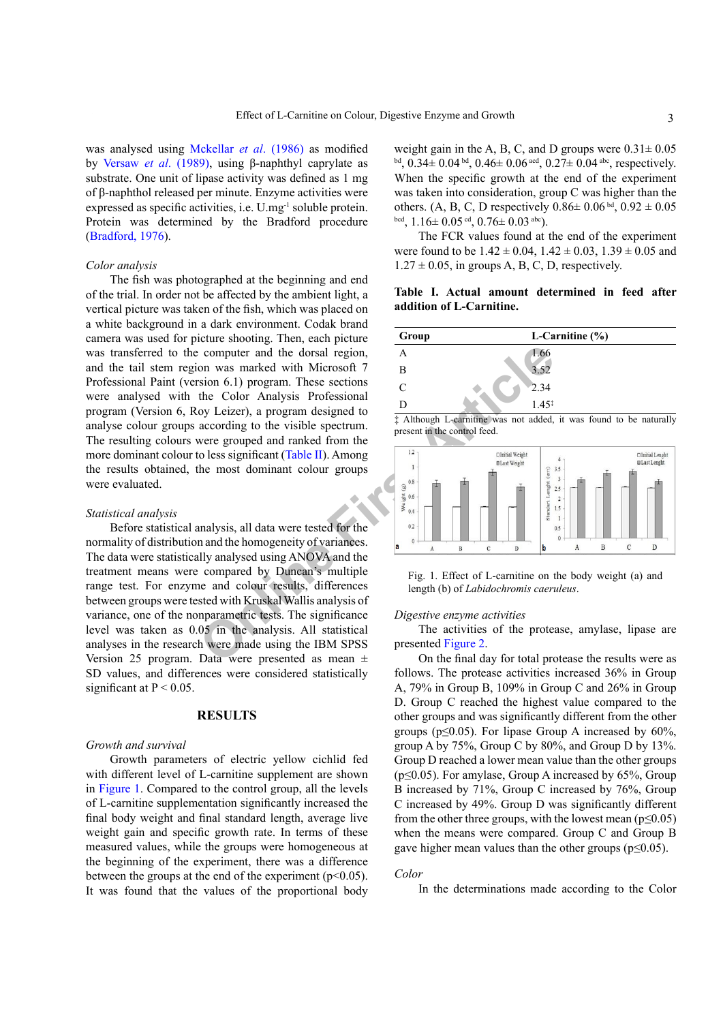was analysed using [Mckellar](#page-7-12) *et al*. (1986) as modified by Versaw *et al*[. \(1989\)](#page-8-9), using β-naphthyl caprylate as substrate. One unit of lipase activity was defined as 1 mg of β-naphthol released per minute. Enzyme activities were expressed as specific activities, i.e. U.mg-1 soluble protein. Protein was determined by the Bradford procedure [\(Bradford, 1976](#page-5-6)).

## *Color analysis*

**Online First Article** The fish was photographed at the beginning and end of the trial. In order not be affected by the ambient light, a vertical picture was taken of the fish, which was placed on a white background in a dark environment. Codak brand camera was used for picture shooting. Then, each picture was transferred to the computer and the dorsal region, and the tail stem region was marked with Microsoft 7 Professional Paint (version 6.1) program. These sections were analysed with the Color Analysis Professional program (Version 6, Roy Leizer), a program designed to analyse colour groups according to the visible spectrum. The resulting colours were grouped and ranked from the more dominant colour to less significant (Table II). Among the results obtained, the most dominant colour groups were evaluated.

#### *Statistical analysis*

Before statistical analysis, all data were tested for the normality of distribution and the homogeneity of variances. The data were statistically analysed using ANOVA and the treatment means were compared by Duncan's multiple range test. For enzyme and colour results, differences between groups were tested with Kruskal Wallis analysis of variance, one of the nonparametric tests. The significance level was taken as 0.05 in the analysis. All statistical analyses in the research were made using the IBM SPSS Version 25 program. Data were presented as mean  $\pm$ SD values, and differences were considered statistically significant at  $P < 0.05$ .

# **RESULTS**

#### *Growth and survival*

Growth parameters of electric yellow cichlid fed with different level of L-carnitine supplement are shown in [Figure 1](#page-2-0). Compared to the control group, all the levels of L-carnitine supplementation significantly increased the final body weight and final standard length, average live weight gain and specific growth rate. In terms of these measured values, while the groups were homogeneous at the beginning of the experiment, there was a difference between the groups at the end of the experiment ( $p<0.05$ ). It was found that the values of the proportional body

weight gain in the A, B, C, and D groups were  $0.31 \pm 0.05$ bd,  $0.34 \pm 0.04$  bd,  $0.46 \pm 0.06$  acd,  $0.27 \pm 0.04$  abc, respectively. When the specific growth at the end of the experiment was taken into consideration, group C was higher than the others. (A, B, C, D respectively  $0.86 \pm 0.06$  bd,  $0.92 \pm 0.05$ bcd,  $1.16 \pm 0.05$  cd,  $0.76 \pm 0.03$  abc).

The FCR values found at the end of the experiment were found to be  $1.42 \pm 0.04$ ,  $1.42 \pm 0.03$ ,  $1.39 \pm 0.05$  and  $1.27 \pm 0.05$ , in groups A, B, C, D, respectively.

# **Table I. Actual amount determined in feed after addition of L-Carnitine.**

| Group | L-Carnitine $(\% )$ |  |  |  |  |  |
|-------|---------------------|--|--|--|--|--|
|       | 1.66                |  |  |  |  |  |
| в     | 3.52                |  |  |  |  |  |
| ◯     | 2.34                |  |  |  |  |  |
|       | $45^{\circ}$        |  |  |  |  |  |

‡ Although L-carnitine was not added, it was found to be naturally present in the control feed.



<span id="page-2-0"></span>Fig. 1. Effect of L-carnitine on the body weight (a) and length (b) of *Labidochromis caeruleus*.

# *Digestive enzyme activities*

The activities of the protease, amylase, lipase are presented Figure 2.

On the final day for total protease the results were as follows. The protease activities increased 36% in Group A, 79% in Group B, 109% in Group C and 26% in Group D. Group C reached the highest value compared to the other groups and was significantly different from the other groups ( $p \le 0.05$ ). For lipase Group A increased by 60%, group A by  $75\%$ , Group C by  $80\%$ , and Group D by  $13\%$ . Group D reached a lower mean value than the other groups ( $p \le 0.05$ ). For amylase, Group A increased by 65%, Group B increased by 71%, Group C increased by 76%, Group C increased by 49%. Group D was significantly different from the other three groups, with the lowest mean ( $p \le 0.05$ ) when the means were compared. Group C and Group B gave higher mean values than the other groups ( $p \le 0.05$ ).

## *Color*

In the determinations made according to the Color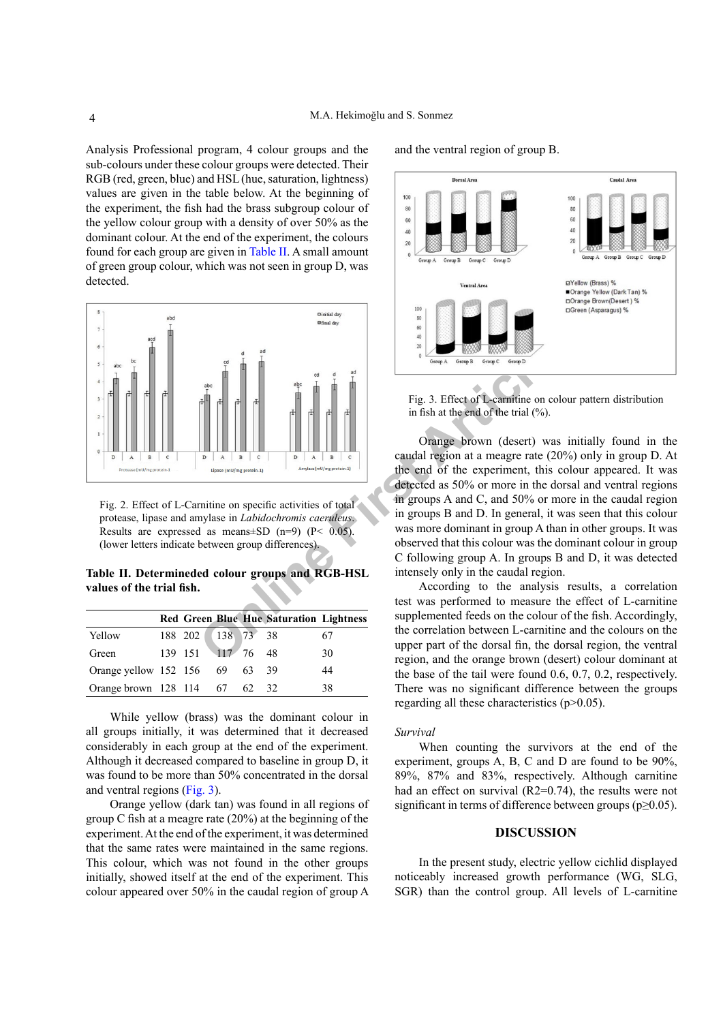Analysis Professional program, 4 colour groups and the sub-colours under these colour groups were detected. Their RGB (red, green, blue) and HSL (hue, saturation, lightness) values are given in the table below. At the beginning of the experiment, the fish had the brass subgroup colour of the yellow colour group with a density of over 50% as the dominant colour. At the end of the experiment, the colours found for each group are given in [Table II](#page-3-0). A small amount of green group colour, which was not seen in group D, was detected.



<span id="page-3-1"></span>Fig. 2. Effect of L-Carnitine on specific activities of total protease, lipase and amylase in *Labidochromis caeruleus*. Results are expressed as means $\pm$ SD (n=9) (P< 0.05). (lower letters indicate between group differences).

<span id="page-3-0"></span>**Table II. Determineded colour groups and RGB-HSL values of the trial fish.**

|                                |                   |  | <b>Red Green Blue Hue Saturation Lightness</b> |    |
|--------------------------------|-------------------|--|------------------------------------------------|----|
| Yellow                         | 188 202 138 73 38 |  |                                                | 67 |
| Green                          | 139 151 117 76 48 |  |                                                | 30 |
| Orange vellow 152 156 69 63 39 |                   |  |                                                | 44 |
| Orange brown 128 114 67 62     |                   |  | -32.                                           | 38 |

While yellow (brass) was the dominant colour in all groups initially, it was determined that it decreased considerably in each group at the end of the experiment. Although it decreased compared to baseline in group D, it was found to be more than 50% concentrated in the dorsal and ventral regions ([Fig. 3](#page-3-2)).

Orange yellow (dark tan) was found in all regions of group C fish at a meagre rate (20%) at the beginning of the experiment. At the end of the experiment, it was determined that the same rates were maintained in the same regions. This colour, which was not found in the other groups initially, showed itself at the end of the experiment. This colour appeared over 50% in the caudal region of group A

and the ventral region of group B.



<span id="page-3-2"></span>Fig. 3. Effect of L-carnitine on colour pattern distribution in fish at the end of the trial (%).

Orange brown (desert) was initially found in the caudal region at a meagre rate (20%) only in group D. At the end of the experiment, this colour appeared. It was detected as 50% or more in the dorsal and ventral regions in groups A and C, and 50% or more in the caudal region in groups B and D. In general, it was seen that this colour was more dominant in group A than in other groups. It was observed that this colour was the dominant colour in group C following group A. In groups B and D, it was detected intensely only in the caudal region.

According to the analysis results, a correlation test was performed to measure the effect of L-carnitine supplemented feeds on the colour of the fish. Accordingly, the correlation between L-carnitine and the colours on the upper part of the dorsal fin, the dorsal region, the ventral region, and the orange brown (desert) colour dominant at the base of the tail were found 0.6, 0.7, 0.2, respectively. There was no significant difference between the groups regarding all these characteristics (p>0.05).

### *Survival*

When counting the survivors at the end of the experiment, groups A, B, C and D are found to be 90%, 89%, 87% and 83%, respectively. Although carnitine had an effect on survival (R2=0.74), the results were not significant in terms of difference between groups ( $p \ge 0.05$ ).

# **DISCUSSION**

In the present study, electric yellow cichlid displayed noticeably increased growth performance (WG, SLG, SGR) than the control group. All levels of L-carnitine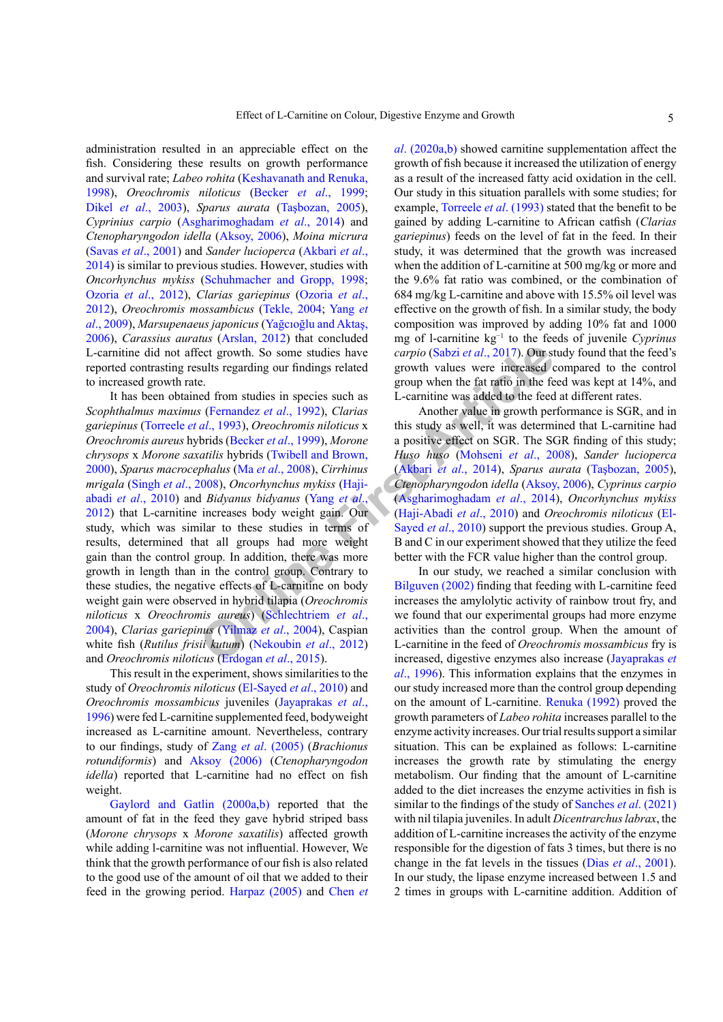administration resulted in an appreciable effect on the fish. Considering these results on growth performance and survival rate; *Labeo rohita* [\(Keshavanath and Renuka,](#page-7-13) [1998\)](#page-7-13), *Oreochromis niloticus* (Becker *et al*[., 1999](#page-5-7); Dikel *et al*[., 2003](#page-6-8)), *Sparus aurata* ([Taşbozan, 2005](#page-8-6)), *Cyprinius carpio* ([Asgharimoghadam](#page-5-8) *et al*., 2014) and *Ctenopharyngodon idella* ([Aksoy, 2006](#page-5-9)), *Moina micrura* (Savas *et al*[., 2001](#page-8-10)) and *Sander lucioperca* ([Akbari](#page-5-10) *et al*., [2014\)](#page-5-10) is similar to previous studies. However, studies with *Oncorhynchus mykiss* ([Schuhmacher and Gropp, 1998](#page-8-11); [Ozoria](#page-7-14) *et al*., 2012), *Clarias gariepinus* ([Ozoria](#page-7-14) *et al*., [2012\)](#page-7-14), *Oreochromis mossambicus* ([Tekle, 2004](#page-8-12); [Yang](#page-9-2) *et al*[., 2009\)](#page-9-2), *Marsupenaeus japonicus* ([Yağcıoğlu and Aktaş,](#page-9-3) [2006\)](#page-9-3), *Carassius auratus* ([Arslan, 2012](#page-5-11)) that concluded L-carnitine did not affect growth. So some studies have reported contrasting results regarding our findings related to increased growth rate.

Examp[l](#page-8-17)e 1.1 So [s](#page-5-8)ome studies have the carpio (Sabzi et al., 2017). Our st<br>sults regarding our findings related<br>growth values were increased c<br>e.<br>**Example 1.1 So some studies** in species such as<br> $\epsilon$  Evernandez et al., 1992 It has been obtained from studies in species such as *Scophthalmus maximus* (Fernandez *et al*., 1992), *Clarias gariepinus* (Torreele *et al*., 1993), *Oreochromis niloticus* x *Oreochromis aureus* hybrids (Becker *et al*., 1999), *Morone chrysops* x *Morone saxatilis* hybrids (Twibell and Brown, [2000\)](#page-8-14), *Sparus macrocephalus* (Ma *et al*., 2008), *Cirrhinus mrigala* (Singh *et al*[., 2008](#page-8-15)), *Oncorhynchus mykiss* (Hajiabadi *et al*[., 2010](#page-6-10)) and *Bidyanus bidyanus* (Yang *et al*., [2012\)](#page-9-4) that L-carnitine increases body weight gain. Our study, which was similar to these studies in terms of results, determined that all groups had more weight gain than the control group. In addition, there was more growth in length than in the control group. Contrary to these studies, the negative effects of L-carnitine on body weight gain were observed in hybrid tilapia (*Oreochromis niloticus* x *Oreochromis aureus*) (Schlechtriem *et al*., [2004\)](#page-8-16), *Clarias gariepinus* (Yilmaz *et al*., 2004), Caspian white fish (*Rutilus frisii kutum*) (Nekoubin *et al*., 2012) and *Oreochromis niloticus* (Erdogan *et al*., 2015).

This result in the experiment, shows similarities to the study of *Oreochromis niloticus* ([El-Sayed](#page-6-12) *et al*., 2010) and *Oreochromis mossambicus* juveniles ([Jayaprakas](#page-7-17) *et al*., [1996\)](#page-7-17) were fed L-carnitine supplemented feed, bodyweight increased as L-carnitine amount. Nevertheless, contrary to our findings, study of Zang *et al*[. \(2005\)](#page-9-6) (*Brachionus rotundiformis*) and [Aksoy \(2006\)](#page-5-9) (*Ctenopharyngodon idella*) reported that L-carnitine had no effect on fish weight.

[Gaylord and Gatlin \(2000a](#page-6-13),[b\)](#page-6-14) reported that the amount of fat in the feed they gave hybrid striped bass (*Morone chrysops* x *Morone saxatilis*) affected growth while adding l-carnitine was not influential. However, We think that the growth performance of our fish is also related to the good use of the amount of oil that we added to their feed in the growing period. [Harpaz \(2005\)](#page-7-6) and [Chen](#page-6-15) *et* 

*al*[. \(2020a,b\)](#page-6-15) showed carnitine supplementation affect the growth of fish because it increased the utilization of energy as a result of the increased fatty acid oxidation in the cell. Our study in this situation parallels with some studies; for example, [Torreele](#page-8-13) *et al*. (1993) stated that the benefit to be gained by adding L-carnitine to African catfish (*Clarias gariepinus*) feeds on the level of fat in the feed. In their study, it was determined that the growth was increased when the addition of L-carnitine at 500 mg/kg or more and the 9.6% fat ratio was combined, or the combination of 684 mg/kg L-carnitine and above with 15.5% oil level was effective on the growth of fish. In a similar study, the body composition was improved by adding 10% fat and 1000 mg of l-carnitine kg−1 to the feeds of juvenile *Cyprinus carpio* (Sabzi *et al*., 2017). Our study found that the feed's growth values were increased compared to the control group when the fat ratio in the feed was kept at 14%, and L-carnitine was added to the feed at different rates.

Another value in growth performance is SGR, and in this study as well, it was determined that L-carnitine had a positive effect on SGR. The SGR finding of this study; *Huso huso* (Mohseni *et al*., 2008), *Sander lucioperca* (Akbari *et al*., 2014), *Sparus aurata* ([Taşbozan, 2005](#page-8-6)), *Ctenopharyngodo*n *idella* ([Aksoy, 2006](#page-5-9)), *Cyprinus carpio* (Asgharimoghadam *et al*., 2014), *Oncorhynchus mykiss* (Haji-Abadi *et al*., 2010) and *Oreochromis niloticus* ([El-](#page-6-12)Sayed *et al*., 2010) support the previous studies. Group A, B and C in our experiment showed that they utilize the feed better with the FCR value higher than the control group.

In our study, we reached a similar conclusion with Bilguven (2002) finding that feeding with L-carnitine feed increases the amylolytic activity of rainbow trout fry, and we found that our experimental groups had more enzyme activities than the control group. When the amount of L-carnitine in the feed of *Oreochromis mossambicus* fry is increased, digestive enzymes also increase [\(Jayaprakas](#page-7-17) *et al*[., 1996\)](#page-7-17). This information explains that the enzymes in our study increased more than the control group depending on the amount of L-carnitine. [Renuka \(1992\)](#page-7-18) proved the growth parameters of *Labeo rohita* increases parallel to the enzyme activity increases. Our trial results support a similar situation. This can be explained as follows: L-carnitine increases the growth rate by stimulating the energy metabolism. Our finding that the amount of L-carnitine added to the diet increases the enzyme activities in fish is similar to the findings of the study of [Sanches](#page-8-18) *et al*. (2021) with nil tilapia juveniles. In adult *Dicentrarchus labrax*, the addition of L-carnitine increases the activity of the enzyme responsible for the digestion of fats 3 times, but there is no change in the fat levels in the tissues (Dias *et al*[., 2001](#page-6-16)). In our study, the lipase enzyme increased between 1.5 and 2 times in groups with L-carnitine addition. Addition of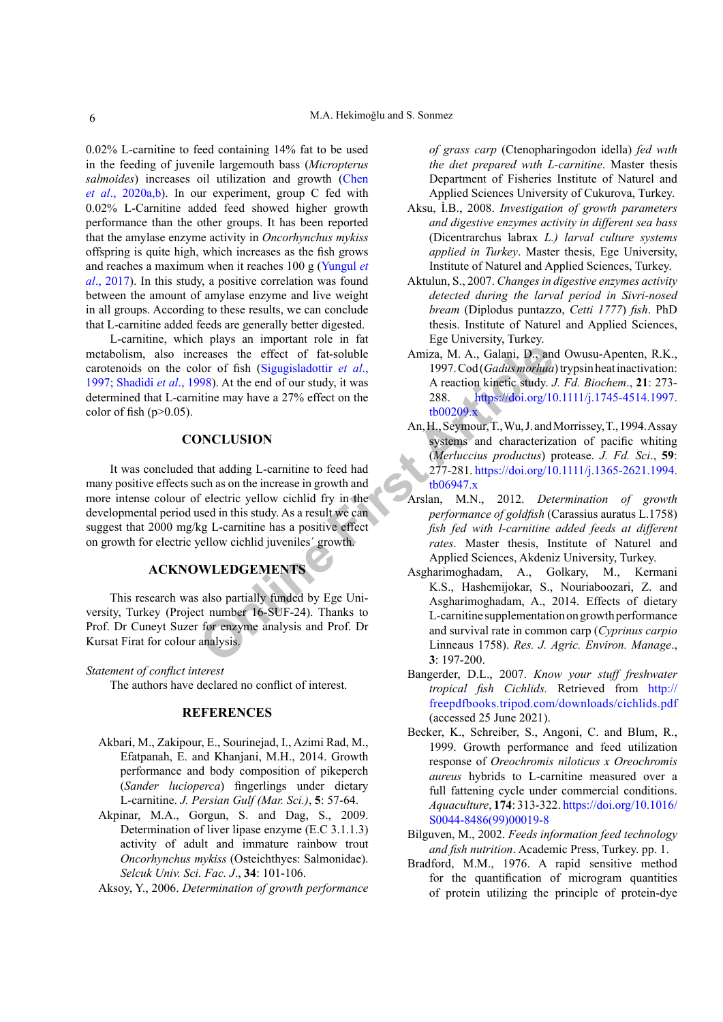0.02% L-carnitine to feed containing 14% fat to be used in the feeding of juvenile largemouth bass (*Micropterus*  salmoides) increases oil utilization and growth [\(Chen](#page-6-15) *et al*[., 2020a](#page-6-15),b). In our experiment, group C fed with 0.02% L-Carnitine added feed showed higher growth performance than the other groups. It has been reported that the amylase enzyme activity in *Oncorhynchus mykiss* offspring is quite high, which increases as the fish grows and reaches a maximum when it reaches 100 g ([Yungul](#page-9-0) *et al*[., 2017\)](#page-9-0). In this study, a positive correlation was found between the amount of amylase enzyme and live weight in all groups. According to these results, we can conclude that L-carnitine added feeds are generally better digested.

L-carnitine, which plays an important role in fat metabolism, also increases the effect of fat-soluble carotenoids on the color of fish (Sigugisladottir *et al*., [1997;](#page-8-19) [Shadidi](#page-8-20) *et al*., 1998). At the end of our study, it was determined that L-carnitine may have a 27% effect on the color of fish  $(p>0.05)$ .

# **CONCLUSION**

**Example 18 and 18 and 18 and 18 and 18 and 18 and 18 and 18 and 18 and 18 and 18 and 18 and 18 and 18 and 18 and 18 and 18 and 18 and 18 and 18 and 18 and 18 and 18 and 18 and 18 and 18 and 18 and 18 and 18 and 18 and 18** It was concluded that adding L-carnitine to feed had many positive effects such as on the increase in growth and more intense colour of electric yellow cichlid fry in the developmental period used in this study. As a result we can suggest that 2000 mg/kg L-carnitine has a positive effect on growth for electric yellow cichlid juveniles´ growth.

# **ACKNOWLEDGEMENTS**

This research was also partially funded by Ege University, Turkey (Project number 16-SUF-24). Thanks to Prof. Dr Cuneyt Suzer for enzyme analysis and Prof. Dr Kursat Firat for colour analysis.

## *Statement of conflıct interest*

The authors have declared no conflict of interest.

# **REFERENCES**

- <span id="page-5-10"></span>Akbari, M., Zakipour, E., Sourinejad, I., Azimi Rad, M., Efatpanah, E. and Khanjani, M.H., 2014. Growth performance and body composition of pikeperch (*Sander lucioperca*) fingerlings under dietary L-carnitine. *J. Persian Gulf (Mar. Sci.)*, **5**: 57-64.
- <span id="page-5-3"></span>Akpinar, M.A., Gorgun, S. and Dag, S., 2009. Determination of liver lipase enzyme (E.C 3.1.1.3) activity of adult and immature rainbow trout *Oncorhynchus mykiss* (Osteichthyes: Salmonidae). *Selcuk Univ. Sci. Fac. J*., **34**: 101-106.

<span id="page-5-9"></span>Aksoy, Y., 2006. *Determination of growth performance* 

*of grass carp* (Ctenopharingodon idella) *fed wıth the dıet prepared wıth L-carnitine*. Master thesis Department of Fisheries Institute of Naturel and Applied Sciences University of Cukurova, Turkey.

- <span id="page-5-1"></span>Aksu, İ.B., 2008. *Investigation of growth parameters and digestive enzymes activity in different sea bass* (Dicentrarchus labrax *L.) larval culture systems applied in Turkey*. Master thesis, Ege University, Institute of Naturel and Applied Sciences, Turkey.
- <span id="page-5-2"></span>Aktulun, S., 2007. *Changes in digestive enzymes activity detected during the larval period in Sivri-nosed bream* (Diplodus puntazzo, *Cetti 1777*) *fish*. PhD thesis. Institute of Naturel and Applied Sciences, Ege University, Turkey.
- <span id="page-5-5"></span>Amiza, M. A., Galani, D., and Owusu-Apenten, R.K., 1997. Cod (*Gadus morhua*) trypsin heat inactivation: A reaction kinetic study. *J. Fd. Biochem*., **21**: 273- 288. [https://doi.org/10.1111/j.1745-4514.1997.](https://doi.org/10.1111/j.1745-4514.1997.tb00209.x) tb00209.x
- <span id="page-5-4"></span>An, H., Seymour, T., Wu, J. and Morrissey, T., 1994. Assay systems and characterization of pacific whiting (*Merluccius productus*) protease. *J. Fd. Sci*., **59**: 277-281. [https://doi.org/10.1111/j.1365-2621.1994.](https://doi.org/10.1111/j.1365-2621.1994.tb06947.x) tb06947.x
- <span id="page-5-11"></span>Arslan, M.N., 2012. *Determination of growth performance of goldfish* (Carassius auratus L.1758) *fish fed with l-carnitine added feeds at different rates*. Master thesis, Institute of Naturel and Applied Sciences, Akdeniz University, Turkey.
- <span id="page-5-8"></span>Asgharimoghadam, A., Golkary, M., Kermani K.S., Hashemijokar, S., Nouriaboozari, Z. and Asgharimoghadam, A., 2014. Effects of dietary L-carnitine supplementation on growth performance and survival rate in common carp (*Cyprinus carpio*  Linneaus 1758). *Res. J. Agric. Environ. Manage*., **3**: 197-200.
- <span id="page-5-0"></span>Bangerder, D.L., 2007. *Know your stuff freshwater tropical fish Cichlids.* Retrieved from [http://](http://freepdfbooks.tripod.com/downloads/cichlids.pdf) [freepdfbooks.tripod.com/downloads/cichlids.pdf](http://freepdfbooks.tripod.com/downloads/cichlids.pdf) (accessed 25 June 2021).
- <span id="page-5-7"></span>Becker, K., Schreiber, S., Angoni, C. and Blum, R., 1999. Growth performance and feed utilization response of *Oreochromis niloticus x Oreochromis aureus* hybrids to L-carnitine measured over a full fattening cycle under commercial conditions. *Aquaculture*, **174**: 313-322. [https://doi.org/10.1016/](https://doi.org/10.1016/S0044-8486(99)00019-8) [S0044-8486\(99\)00019-8](https://doi.org/10.1016/S0044-8486(99)00019-8)
- <span id="page-5-12"></span>Bilguven, M., 2002. *Feeds information feed technology and fish nutrition*. Academic Press, Turkey. pp. 1.
- <span id="page-5-6"></span>Bradford, M.M., 1976. A rapid sensitive method for the quantification of microgram quantities of protein utilizing the principle of protein-dye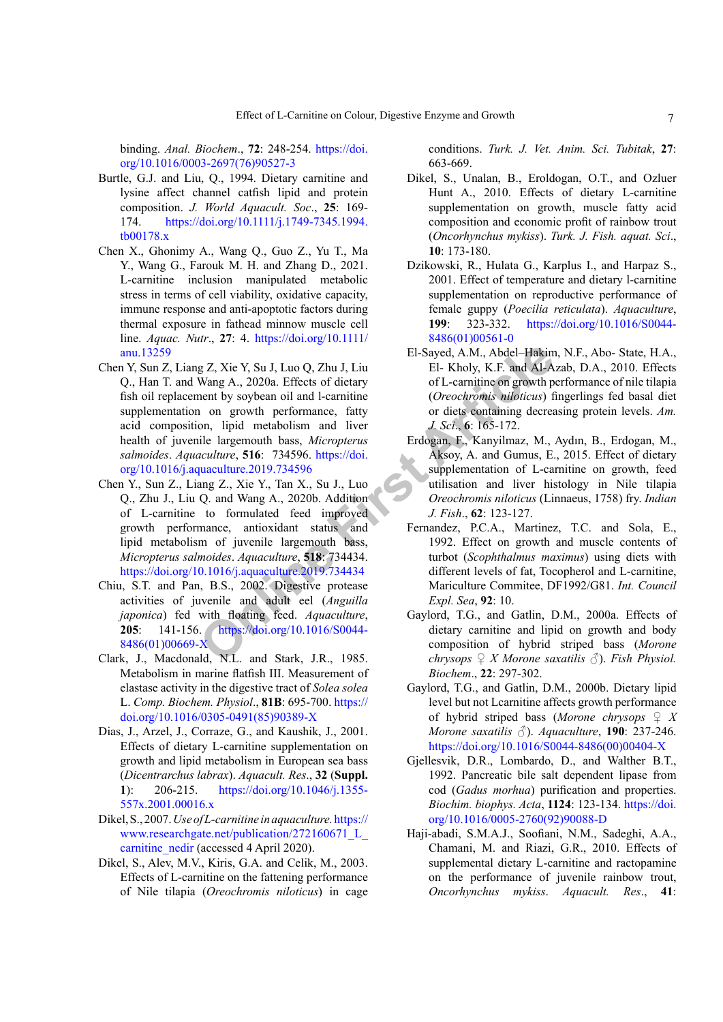binding. *Anal. Biochem*., **72**: 248-254. [https://doi.](https://doi.org/10.1016/0003-2697(76)90527-3) [org/10.1016/0003-2697\(76\)90527-3](https://doi.org/10.1016/0003-2697(76)90527-3)

- <span id="page-6-5"></span>Burtle, G.J. and Liu, Q., 1994. Dietary carnitine and lysine affect channel catfish lipid and protein composition. *J. World Aquacult. Soc*., **25**: 169- 174. [https://doi.org/10.1111/j.1749-7345.1994.](https://doi.org/10.1111/j.1749-7345.1994.tb00178.x) [tb00178.x](https://doi.org/10.1111/j.1749-7345.1994.tb00178.x)
- <span id="page-6-7"></span>Chen X., Ghonimy A., Wang Q., Guo Z., Yu T., Ma Y., Wang G., Farouk M. H. and Zhang D., 2021. L-carnitine inclusion manipulated metabolic stress in terms of cell viability, oxidative capacity, immune response and anti-apoptotic factors during thermal exposure in fathead minnow muscle cell line. *Aquac. Nutr*., **27**: 4. [https://doi.org/10.1111/](https://doi.org/10.1111/anu.13259) [anu.13259](https://doi.org/10.1111/anu.13259)
- <span id="page-6-15"></span>El-Sayed, A.M., Abdel-Hakim<br>
Wang A., 2020a. Effects of dietary<br>
ment by soybean oil and l-carnitine of growth performance, farty<br>
1 on growth performance, farty<br>
1 on growth performance, farty<br>
1 on growth performance, fa Chen Y, Sun Z, Liang Z, Xie Y, Su J, Luo Q, Zhu J, Liu Q., Han T. and Wang A., 2020a. Effects of dietary fish oil replacement by soybean oil and l-carnitine supplementation on growth performance, fatty acid composition, lipid metabolism and liver health of juvenile largemouth bass, *Micropterus salmoides*. *Aquaculture*, **516**: 734596. https://doi. [org/10.1016/j.aquaculture.2019.734596](https://doi.org/10.1016/j.aquaculture.2019.734596)
- Chen Y., Sun Z., Liang Z., Xie Y., Tan X., Su J., Luo Q., Zhu J., Liu Q. and Wang A., 2020b. Addition of L-carnitine to formulated feed improved growth performance, antioxidant status and lipid metabolism of juvenile largemouth bass, *Micropterus salmoides*. *Aquaculture*, **518**: 734434. <https://doi.org/10.1016/j.aquaculture.2019.734434>
- <span id="page-6-1"></span>Chiu, S.T. and Pan, B.S., 2002. Digestive protease activities of juvenile and adult eel (*Anguilla japonica*) fed with floating feed. *Aquaculture*, **205**: 141-156. https://doi.org/10.1016/S0044- [8486\(01\)00669-X](https://doi.org/10.1016/S0044-8486(01)00669-X)
- <span id="page-6-0"></span>Clark, J., Macdonald, N.L. and Stark, J.R., 1985. Metabolism in marine flatfish III. Measurement of elastase activity in the digestive tract of *Solea solea* L. *Comp. Biochem. Physiol*., **81B**: 695-700. [https://](https://doi.org/10.1016/0305-0491(85)90389-X) [doi.org/10.1016/0305-0491\(85\)90389-X](https://doi.org/10.1016/0305-0491(85)90389-X)
- <span id="page-6-16"></span>Dias, J., Arzel, J., Corraze, G., and Kaushik, J., 2001. Effects of dietary L-carnitine supplementation on growth and lipid metabolism in European sea bass (*Dicentrarchus labrax*). *Aquacult. Res*., **32** (**Suppl. 1**): 206-215. [https://doi.org/10.1046/j.1355-](https://doi.org/10.1046/j.1355-557x.2001.00016.x) [557x.2001.00016.x](https://doi.org/10.1046/j.1355-557x.2001.00016.x)
- <span id="page-6-3"></span>Dikel, S., 2007. *Use of L-carnitine in aquaculture.*[https://](https://www.researchgate.net/publication/272160671_L_carnitine_nedir) [www.researchgate.net/publication/272160671\\_L\\_](https://www.researchgate.net/publication/272160671_L_carnitine_nedir) [carnitine\\_nedir](https://www.researchgate.net/publication/272160671_L_carnitine_nedir) (accessed 4 April 2020).
- <span id="page-6-8"></span>Dikel, S., Alev, M.V., Kiris, G.A. and Celik, M., 2003. Effects of L-carnitine on the fattening performance of Nile tilapia (*Oreochromis niloticus*) in cage

conditions. *Turk. J. Vet. Anim. Sci. Tubitak*, **27**: 663-669.

- <span id="page-6-4"></span>Dikel, S., Unalan, B., Eroldogan, O.T., and Ozluer Hunt A., 2010. Effects of dietary L-carnitine supplementation on growth, muscle fatty acid composition and economic profit of rainbow trout (*Oncorhynchus mykiss*). *Turk. J. Fish. aquat. Sci*., **10**: 173-180.
- <span id="page-6-6"></span>Dzikowski, R., Hulata G., Karplus I., and Harpaz S., 2001. Effect of temperature and dietary l-carnitine supplementation on reproductive performance of female guppy (*Poecilia reticulata*). *Aquaculture*, **199**: 323-332. [https://doi.org/10.1016/S0044-](https://doi.org/10.1016/S0044-8486(01)00561-0) [8486\(01\)00561-0](https://doi.org/10.1016/S0044-8486(01)00561-0)
- <span id="page-6-12"></span>El-Sayed, A.M., Abdel–Hakim, N.F., Abo- State, H.A., El- Kholy, K.F. and Al-Azab, D.A., 2010. Effects of L-carnitine on growth performance of nile tilapia (*Oreochromis niloticus*) fingerlings fed basal diet or diets containing decreasing protein levels. *Am. J. Sci*., **6**: 165-172.
- <span id="page-6-11"></span>Erdogan, F., Kanyilmaz, M., Aydın, B., Erdogan, M., Aksoy, A. and Gumus, E., 2015. Effect of dietary supplementation of L-carnitine on growth, feed utilisation and liver histology in Nile tilapia *Oreochromis niloticus* (Linnaeus, 1758) fry. *Indian J. Fish*., **62**: 123-127.
- <span id="page-6-9"></span>Fernandez, P.C.A., Martinez, T.C. and Sola, E., 1992. Effect on growth and muscle contents of turbot (*Scophthalmus maximus*) using diets with different levels of fat, Tocopherol and L-carnitine, Mariculture Commitee, DF1992/G81. *Int. Council Expl. Sea*, **92**: 10.
- <span id="page-6-13"></span>Gaylord, T.G., and Gatlin, D.M., 2000a. Effects of dietary carnitine and lipid on growth and body composition of hybrid striped bass (*Morone chrysops*  $\mathcal{L}$  *X* Morone saxatilis  $\mathcal{L}$ . *Fish Physiol. Biochem*., **22**: 297-302.
- <span id="page-6-14"></span>Gaylord, T.G., and Gatlin, D.M., 2000b. Dietary lipid level but not Lcarnitine affects growth performance of hybrid striped bass (*Morone chrysops ♀ X Morone saxatilis* ♂). *Aquaculture*, **190**: 237-246. [https://doi.org/10.1016/S0044-8486\(00\)00404-X](https://doi.org/10.1016/S0044-8486(00)00404-X)
- <span id="page-6-2"></span>Gjellesvik, D.R., Lombardo, D., and Walther B.T., 1992. Pancreatic bile salt dependent lipase from cod (*Gadus morhua*) purification and properties. *Biochim. biophys. Acta*, **1124**: 123-134. [https://doi.](https://doi.org/10.1016/0005-2760(92)90088-D) [org/10.1016/0005-2760\(92\)90088-D](https://doi.org/10.1016/0005-2760(92)90088-D)
- <span id="page-6-10"></span>Haji-abadi, S.M.A.J., Soofiani, N.M., Sadeghi, A.A., Chamani, M. and Riazi, G.R., 2010. Effects of supplemental dietary L-carnitine and ractopamine on the performance of juvenile rainbow trout, *Oncorhynchus mykiss*. *Aquacult. Res*., **41**: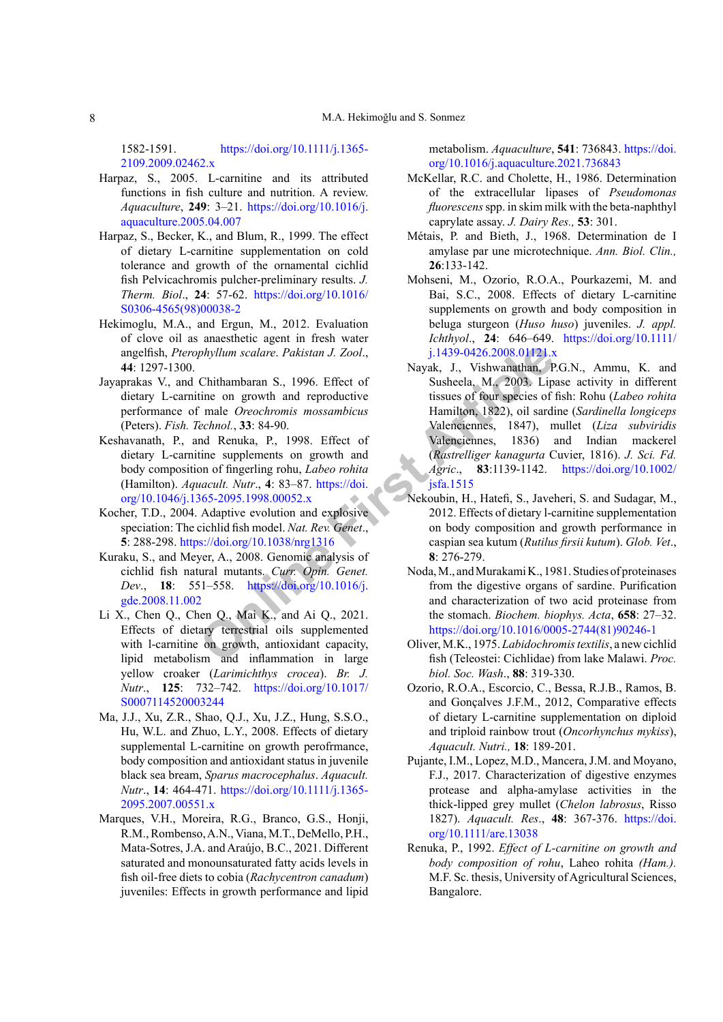1582-1591. [https://doi.org/10.1111/j.1365-](https://doi.org/10.1111/j.1365-2109.2009.02462.x) [2109.2009.02462.x](https://doi.org/10.1111/j.1365-2109.2009.02462.x)

- <span id="page-7-6"></span>Harpaz, S., 2005. L-carnitine and its attributed functions in fish culture and nutrition. A review. *Aquaculture*, **249**: 3–21. [https://doi.org/10.1016/j.](https://doi.org/10.1016/j.aquaculture.2005.04.007) [aquaculture.2005.04.007](https://doi.org/10.1016/j.aquaculture.2005.04.007)
- <span id="page-7-8"></span>Harpaz, S., Becker, K., and Blum, R., 1999. The effect of dietary L-carnitine supplementation on cold tolerance and growth of the ornamental cichlid fish Pelvicachromis pulcher-preliminary results. *J. Therm. Biol*., **24**: 57-62. [https://doi.org/10.1016/](https://doi.org/10.1016/S0306-4565(98)00038-2) [S0306-4565\(98\)00038-2](https://doi.org/10.1016/S0306-4565(98)00038-2)
- <span id="page-7-10"></span>Hekimoglu, M.A., and Ergun, M., 2012. Evaluation of clove oil as anaesthetic agent in fresh water angelfish, *Pterophyllum scalare*. *Pakistan J. Zool*., **44**: 1297-1300.
- <span id="page-7-17"></span>Jayaprakas V., and Chithambaran S., 1996. Effect of dietary L-carnitine on growth and reproductive performance of male *Oreochromis mossambicus* (Peters). *Fish. Technol.*, **33**: 84-90.
- <span id="page-7-13"></span>Keshavanath, P., and Renuka, P., 1998. Effect of dietary L-carnitine supplements on growth and body composition of fingerling rohu, *Labeo rohita* (Hamilton). *Aquacult. Nutr*., **4**: 83–87. https://doi. [org/10.1046/j.1365-2095.1998.00052.x](https://doi.org/10.1046/j.1365-2095.1998.00052.x)
- <span id="page-7-0"></span>Kocher, T.D., 2004. Adaptive evolution and explosive speciation: The cichlid fish model. *Nat. Rev. Genet*., **5**: 288-298. https://doi.org/10.1038/nrg1316
- <span id="page-7-1"></span>Kuraku, S., and Meyer, A., 2008. Genomic analysis of cichlid fish natural mutants. *Curr. Opin. Genet. Dev*., **18**: 551–558. https://doi.org/10.1016/j. [gde.2008.11.002](https://doi.org/10.1016/j.gde.2008.11.002)
- <span id="page-7-9"></span><span id="page-7-2"></span>Li X., Chen Q., Chen Q., Mai K., and Ai Q., 2021. Effects of dietary terrestrial oils supplemented with l-carnitine on growth, antioxidant capacity, lipid metabolism and inflammation in large yellow croaker (*Larimichthys crocea*). *Br. J. Nutr*., **125**: 732–742. [https://doi.org/10.1017/](https://doi.org/10.1017/S0007114520003244) [S0007114520003244](https://doi.org/10.1017/S0007114520003244)
- <span id="page-7-15"></span><span id="page-7-14"></span><span id="page-7-4"></span>Ma, J.J., Xu, Z.R., Shao, Q.J., Xu, J.Z., Hung, S.S.O., Hu, W.L. and Zhuo, L.Y., 2008. Effects of dietary supplemental L-carnitine on growth perofrmance, body composition and antioxidant status in juvenile black sea bream, *Sparus macrocephalus*. *Aquacult. Nutr*., **14**: 464-471. [https://doi.org/10.1111/j.1365-](https://doi.org/10.1111/j.1365-2095.2007.00551.x) [2095.2007.00551.x](https://doi.org/10.1111/j.1365-2095.2007.00551.x)
- <span id="page-7-18"></span><span id="page-7-7"></span>Marques, V.H., Moreira, R.G., Branco, G.S., Honji, R.M., Rombenso, A.N., Viana, M.T., DeMello, P.H., Mata-Sotres, J.A. and Araújo, B.C., 2021. Different saturated and monounsaturated fatty acids levels in fish oil-free diets to cobia (*Rachycentron canadum*) juveniles: Effects in growth performance and lipid

metabolism. *Aquaculture*, **541**: 736843. [https://doi.](https://doi.org/10.1016/j.aquaculture.2021.736843) [org/10.1016/j.aquaculture.2021.736843](https://doi.org/10.1016/j.aquaculture.2021.736843)

- <span id="page-7-12"></span>McKellar, R.C. and Cholette, H., 1986. Determination of the extracellular lipases of *Pseudomonas fluorescens* spp. in skim milk with the beta-naphthyl caprylate assay. *J. Dairy Res.,* **53**: 301.
- Métais, P. and Bieth, J., 1968. Determination de I amylase par une microtechnique. *Ann. Biol. Clin.,*  **26**:133-142.
- <span id="page-7-16"></span><span id="page-7-11"></span><span id="page-7-5"></span><span id="page-7-3"></span>Mohseni, M., Ozorio, R.O.A., Pourkazemi, M. and Bai, S.C., 2008. Effects of dietary L-carnitine supplements on growth and body composition in beluga sturgeon (*Huso huso*) juveniles. *J. appl. Ichthyol*., **24**: 646–649. [https://doi.org/10.1111/](https://doi.org/10.1111/j.1439-0426.2008.01121.x) j.1439-0426.2008.01121.x
- *phyllum scalar[e](https://doi.org/10.1038/nrg1316). Pakistan J. Zool.* 5.1439-0426.2008.01121.x<b[r](https://doi.org/10.1046/j.1365-2095.1998.00052.x)>
Chithambaran S., 1996. Effec[t](https://doi.org/10.1002/jsfa.1515) of Susheela, M., 2003. Lip<br>
time on growth and reproductive issues of bour species of<br> *Chinol.*, 33: 84-90. Va[le](https://doi.org/10.1111/j.1439-0426.2008.01121.x)nciennes, 1847), Nayak, J., Vishwanathan, P.G.N., Ammu, K. and Susheela, M., 2003. Lipase activity in different tissues of four species of fish: Rohu (*Labeo rohita*  Hamilton, 1822), oil sardine (*Sardinella longiceps*  Valenciennes, 1847), mullet (*Liza subviridis*  Valenciennes, 1836) and Indian mackerel (*Rastrelliger kanagurta* Cuvier, 1816). *J. Sci. Fd. Agric*., **83**:1139-1142. [https://doi.org/10.1002/](https://doi.org/10.1002/jsfa.1515) jsfa.1515
	- Nekoubin, H., Hatefi, S., Javeheri, S. and Sudagar, M., 2012. Effects of dietary l-carnitine supplementation on body composition and growth performance in caspian sea kutum (*Rutilus firsii kutum*). *Glob. Vet*., **8**: 276-279.
	- Noda, M., and Murakami K., 1981. Studies of proteinases from the digestive organs of sardine. Purification and characterization of two acid proteinase from the stomach. *Biochem. biophys. Acta*, **658**: 27–32. [https://doi.org/10.1016/0005-2744\(81\)90246-1](https://doi.org/10.1016/0005-2744(81)90246-1)
	- Oliver, M.K., 1975. *Labidochromis textilis*, a new cichlid fish (Teleostei: Cichlidae) from lake Malawi. *Proc. biol. Soc. Wash*., **88**: 319-330.
	- Ozorio, R.O.A., Escorcio, C., Bessa, R.J.B., Ramos, B. and Gonçalves J.F.M., 2012, Comparative effects of dietary L-carnitine supplementation on diploid and triploid rainbow trout (*Oncorhynchus mykiss*), *Aquacult. Nutri.,* **18**: 189-201.
	- Pujante, I.M., Lopez, M.D., Mancera, J.M. and Moyano, F.J., 2017. Characterization of digestive enzymes protease and alpha-amylase activities in the thick-lipped grey mullet (*Chelon labrosus*, Risso 1827). *Aquacult. Res*., **48**: 367-376. [https://doi.](https://doi.org/10.1111/are.13038) [org/10.1111/are.13038](https://doi.org/10.1111/are.13038)
	- Renuka, P., 1992. *Effect of L-carnitine on growth and body composition of rohu*, Laheo rohita *(Ham.).*  M.F. Sc. thesis, University of Agricultural Sciences, Bangalore.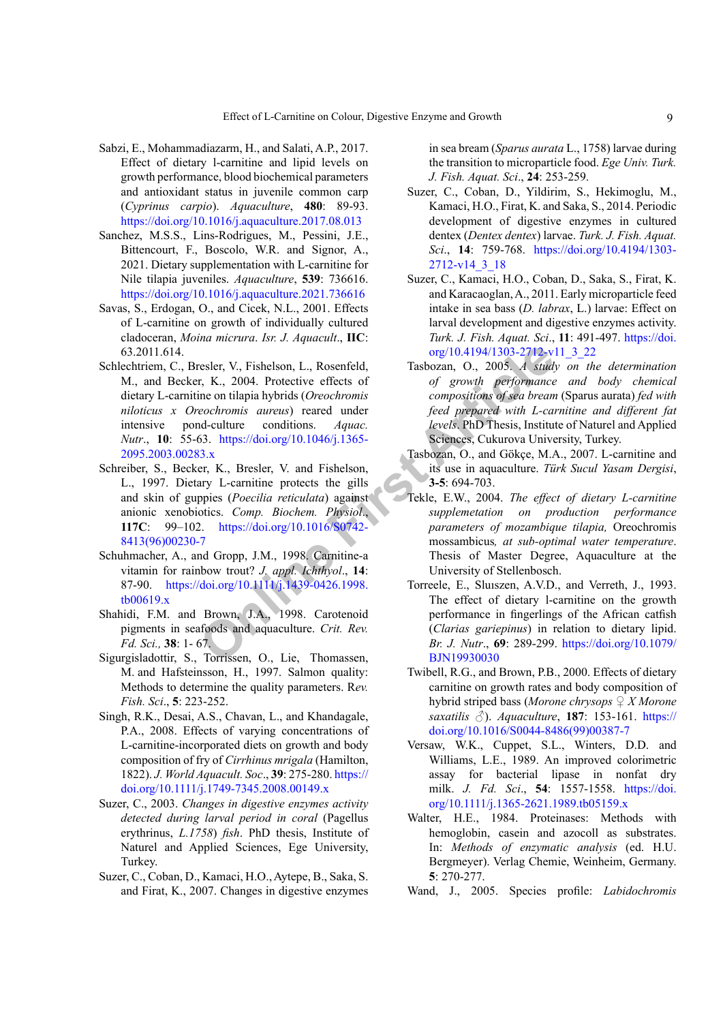- <span id="page-8-17"></span>Sabzi, E., Mohammadiazarm, H., and Salati, A.P., 2017. Effect of dietary l-carnitine and lipid levels on growth performance, blood biochemical parameters and antioxidant status in juvenile common carp (*Cyprinus carpio*). *Aquaculture*, **480**: 89-93. <https://doi.org/10.1016/j.aquaculture.2017.08.013>
- <span id="page-8-18"></span>Sanchez, M.S.S., Lins-Rodrigues, M., Pessini, J.E., Bittencourt, F., Boscolo, W.R. and Signor, A., 2021. Dietary supplementation with L-carnitine for Nile tilapia juveniles. *Aquaculture*, **539**: 736616. <https://doi.org/10.1016/j.aquaculture.2021.736616>
- <span id="page-8-10"></span>Savas, S., Erdogan, O., and Cicek, N.L., 2001. Effects of L-carnitine on growth of individually cultured cladoceran, *Moina micrura*. *Isr. J. Aquacult*., **IIC**: 63.2011.614.
- <span id="page-8-16"></span>resler, V., [Fi](https://doi.org/10.1016/S0742-8413(96)00230-7)shelson, L., Rosenfeld, ratio and Compositions, F., K., 2004. Protective effects of *arowth performance*<br>
ine on tilapia hybrids (*Oreochromis* compositions of *sea bread with L-ca*<br> *Evels, PhD Thesis, Insti* Schlechtriem, C., Bresler, V., Fishelson, L., Rosenfeld, M., and Becker, K., 2004. Protective effects of dietary L-carnitine on tilapia hybrids (*Oreochromis niloticus x Oreochromis aureus*) reared under intensive pond-culture conditions. *Aquac. Nutr*., **10**: 55-63. https://doi.org/10.1046/j.1365- [2095.2003.00283.x](https://doi.org/10.1046/j.1365-2095.2003.00283.x)
- <span id="page-8-7"></span>Schreiber, S., Becker, K., Bresler, V. and Fishelson, L., 1997. Dietary L-carnitine protects the gills and skin of guppies (*Poecilia reticulata*) against anionic xenobiotics. *Comp. Biochem. Physiol*., **117C**: 99–102. https://doi.org/10.1016/S0742- [8413\(96\)00230-7](https://doi.org/10.1016/S0742-8413(96)00230-7)
- <span id="page-8-11"></span>Schuhmacher, A., and Gropp, J.M., 1998. Carnitine-a vitamin for rainbow trout? *J. appl. Ichthyol*., **14**: 87-90. https://doi.org/10.1111/j.1439-0426.1998. [tb00619.x](https://doi.org/10.1111/j.1439-0426.1998.tb00619.x)
- <span id="page-8-20"></span>Shahidi, F.M. and Brown, J.A., 1998. Carotenoid pigments in seafoods and aquaculture. *Crit. Rev. Fd. Sci.,* **38**: 1- 67.
- <span id="page-8-19"></span>Sigurgisladottir, S., Torrissen, O., Lie, Thomassen, M. and Hafsteinsson, H., 1997. Salmon quality: Methods to determine the quality parameters. R*ev. Fish. Sci*., **5**: 223-252.
- <span id="page-8-15"></span>Singh, R.K., Desai, A.S., Chavan, L., and Khandagale, P.A., 2008. Effects of varying concentrations of L-carnitine-incorporated diets on growth and body composition of fry of *Cirrhinus mrigala* (Hamilton, 1822). *J. World Aquacult. Soc*., **39**: 275-280. [https://](https://doi.org/10.1111/j.1749-7345.2008.00149.x) [doi.org/10.1111/j.1749-7345.2008.00149.x](https://doi.org/10.1111/j.1749-7345.2008.00149.x)
- <span id="page-8-3"></span>Suzer, C., 2003. *Changes in digestive enzymes activity detected during larval period in coral* (Pagellus erythrinus, *L.1758*) *fish*. PhD thesis, Institute of Naturel and Applied Sciences, Ege University, Turkey.
- <span id="page-8-1"></span><span id="page-8-0"></span>Suzer, C., Coban, D., Kamaci, H.O., Aytepe, B., Saka, S. and Firat, K., 2007. Changes in digestive enzymes

in sea bream (*Sparus aurata* L., 1758) larvae during the transition to microparticle food. *Ege Univ. Turk. J. Fish. Aquat. Sci*., **24**: 253-259.

- <span id="page-8-4"></span>Suzer, C., Coban, D., Yildirim, S., Hekimoglu, M., Kamaci, H.O., Firat, K. and Saka, S., 2014. Periodic development of digestive enzymes in cultured dentex (*Dentex dentex*) larvae. *Turk. J. Fish. Aquat. Sci*., **14**: 759-768. [https://doi.org/10.4194/1303-](https://doi.org/10.4194/1303-2712-v14_3_18) [2712-v14\\_3\\_18](https://doi.org/10.4194/1303-2712-v14_3_18)
- <span id="page-8-2"></span>Suzer, C., Kamaci, H.O., Coban, D., Saka, S., Firat, K. and Karacaoglan, A., 2011. Early microparticle feed intake in sea bass (*D. labrax*, L.) larvae: Effect on larval development and digestive enzymes activity. *Turk. J. Fish. Aquat. Sci*., **11**: 491-497. [https://doi.](https://doi.org/10.4194/1303-2712-v11_3_22) [org/10.4194/1303-2712-v11\\_3\\_22](https://doi.org/10.4194/1303-2712-v11_3_22)
- <span id="page-8-6"></span>Tasbozan, O., 2005. *A study on the determination of growth performance and body chemical compositions of sea bream* (Sparus aurata) *fed with feed prepared with L-carnitine and different fat levels*. PhD Thesis, Institute of Naturel and Applied Sciences, Cukurova University, Turkey.
- <span id="page-8-5"></span>Tasbozan, O., and Gökçe, M.A., 2007. L-carnitine and its use in aquaculture. *Türk Sucul Yasam Dergisi*, **3-5**: 694-703.
- <span id="page-8-14"></span><span id="page-8-13"></span><span id="page-8-12"></span><span id="page-8-9"></span><span id="page-8-8"></span>Tekle, E.W., 2004. *The effect of dietary L-carnitine supplemetation on production performance parameters of mozambique tilapia,* Oreochromis mossambicus*, at sub-optimal water temperature*. Thesis of Master Degree, Aquaculture at the University of Stellenbosch.
	- Torreele, E., Sluıszen, A.V.D., and Verreth, J., 1993. The effect of dietary l-carnitine on the growth performance in fingerlings of the African catfish (*Clarias gariepinus*) in relation to dietary lipid. *Br. J. Nutr*., **69**: 289-299. [https://doi.org/10.1079/](https://doi.org/10.1079/BJN19930030) BJN19930030
	- Twibell, R.G., and Brown, P.B., 2000. Effects of dietary carnitine on growth rates and body composition of hybrid striped bass (*Morone chrysops ♀ X Morone saxatilis* ♂). *Aquaculture*, **187**: 153-161. [https://](https://doi.org/10.1016/S0044-8486(99)00387-7) [doi.org/10.1016/S0044-8486\(99\)00387-7](https://doi.org/10.1016/S0044-8486(99)00387-7)
	- Versaw, W.K., Cuppet, S.L., Winters, D.D. and Williams, L.E., 1989. An improved colorimetric assay for bacterial lipase in nonfat dry milk. *J. Fd. Sci*., **54**: 1557-1558. [https://doi.](https://doi.org/10.1111/j.1365-2621.1989.tb05159.x) [org/10.1111/j.1365-2621.1989.tb05159.x](https://doi.org/10.1111/j.1365-2621.1989.tb05159.x)
	- Walter, H.E., 1984. Proteinases: Methods with hemoglobin, casein and azocoll as substrates. In: *Methods of enzymatic analysis* (ed. H.U. Bergmeyer). Verlag Chemie, Weinheim, Germany. **5**: 270-277.
	- Wand, J., 2005. Species profile: *Labidochromis*